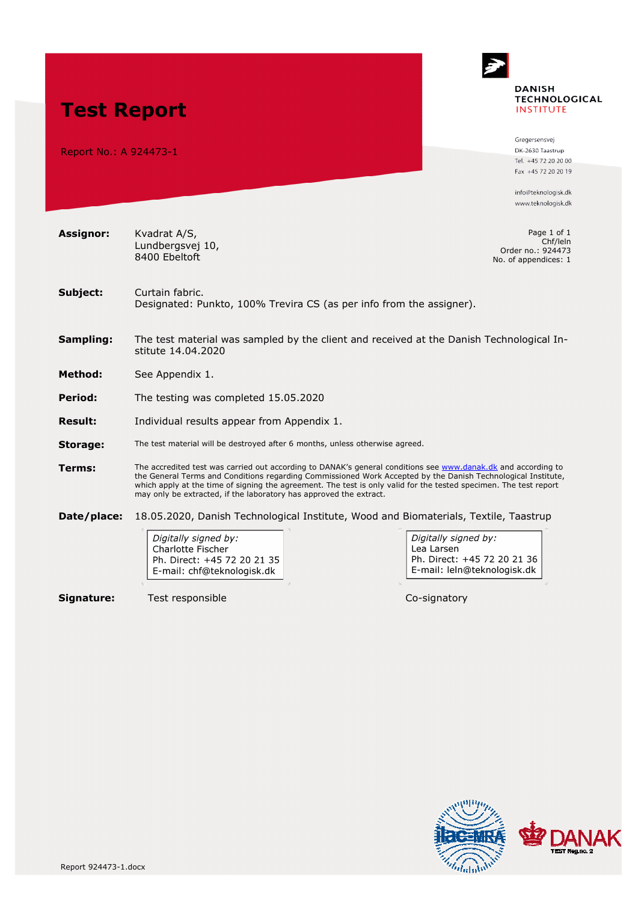

Report No.: A 924473-1

**Assignor:** Kvadrat A/S,

**Test Report** 

Gregersensvei DK-2630 Taastrup Tel. +45 72 20 20 00 Fax +45 72 20 20 19

info@teknologisk.dk www.teknologisk.dk

Page 1 of 1 Chf/leln Order no.: 924473 No. of appendices: 1

- Subject: Curtain fabric. Designated: Punkto, 100% Trevira CS (as per info from the assigner).
- **Sampling:** The test material was sampled by the client and received at the Danish Technological Institute 14.04.2020
- **Method:** See Appendix 1.
- **Period:** The testing was completed 15.05.2020

Lundbergsvej 10, 8400 Ebeltoft

- **Result:** Individual results appear from Appendix 1.
- **Storage:** The test material will be destroyed after 6 months, unless otherwise agreed.
- **Terms:** The accredited test was carried out according to DANAK's general conditions see [www.danak.dk a](http://www.danak.dk/)nd according to the General Terms and Conditions regarding Commissioned Work Accepted by the Danish Technological Institute, which apply at the time of signing the agreement. The test is only valid for the tested specimen. The test report may only be extracted, if the laboratory has approved the extract.
- **Date/place:** 18.05.2020, Danish Technological Institute, Wood and Biomaterials, Textile, Taastrup

Digitally signed by: Charlotte Fischer Ph. Direct: +45 72 20 21 35 E-mail: chf@teknologisk.dk

**Signature:** Test responsible Co-signatory

Digitally signed by: Lea Larsen Ph. Direct: +45 72 20 21 36 E-mail: leln@teknologisk.dk

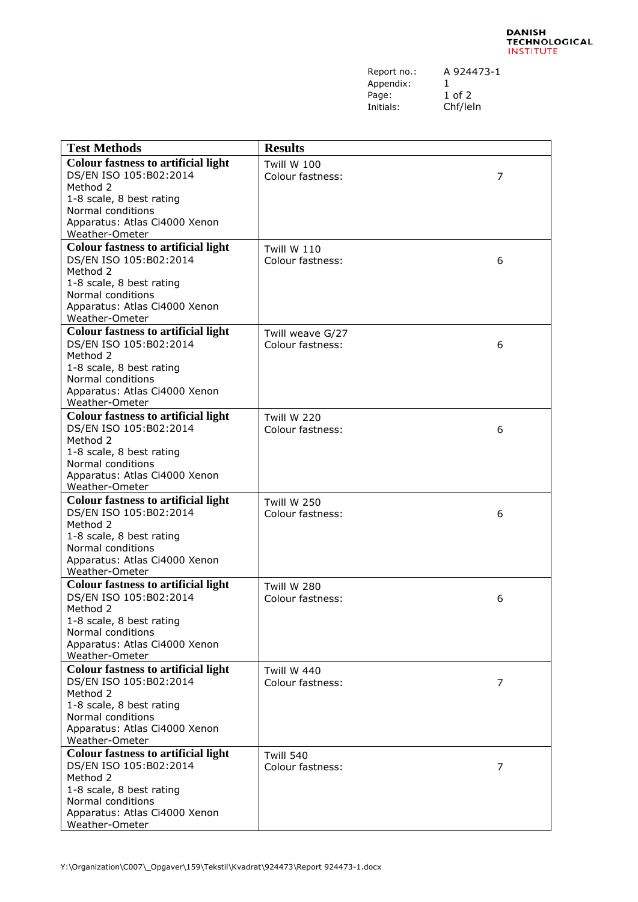| Report no.: | А |
|-------------|---|
| Appendix:   |   |
| Page:       | 1 |
| Initials:   |   |

A 924473-1 1 of 2 Chf/leln

| <b>Test Methods</b>                           | <b>Results</b>          |   |
|-----------------------------------------------|-------------------------|---|
| <b>Colour fastness to artificial light</b>    | <b>Twill W 100</b>      |   |
| DS/EN ISO 105:B02:2014                        | Colour fastness:        | 7 |
| Method 2                                      |                         |   |
| 1-8 scale, 8 best rating                      |                         |   |
| Normal conditions                             |                         |   |
| Apparatus: Atlas Ci4000 Xenon                 |                         |   |
| Weather-Ometer                                |                         |   |
| <b>Colour fastness to artificial light</b>    | <b>Twill W 110</b>      |   |
| DS/EN ISO 105:B02:2014                        | <b>Colour fastness:</b> | 6 |
| Method 2<br>1-8 scale, 8 best rating          |                         |   |
| Normal conditions                             |                         |   |
| Apparatus: Atlas Ci4000 Xenon                 |                         |   |
| Weather-Ometer                                |                         |   |
| <b>Colour fastness to artificial light</b>    | Twill weave G/27        |   |
| DS/EN ISO 105:B02:2014                        | Colour fastness:        | 6 |
| Method 2                                      |                         |   |
| 1-8 scale, 8 best rating                      |                         |   |
| Normal conditions                             |                         |   |
| Apparatus: Atlas Ci4000 Xenon                 |                         |   |
| Weather-Ometer                                |                         |   |
| <b>Colour fastness to artificial light</b>    | Twill W 220             |   |
| DS/EN ISO 105:B02:2014                        | Colour fastness:        | 6 |
| Method 2                                      |                         |   |
| 1-8 scale, 8 best rating<br>Normal conditions |                         |   |
| Apparatus: Atlas Ci4000 Xenon                 |                         |   |
| Weather-Ometer                                |                         |   |
| <b>Colour fastness to artificial light</b>    | <b>Twill W 250</b>      |   |
| DS/EN ISO 105:B02:2014                        | Colour fastness:        | 6 |
| Method 2                                      |                         |   |
| 1-8 scale, 8 best rating                      |                         |   |
| Normal conditions                             |                         |   |
| Apparatus: Atlas Ci4000 Xenon                 |                         |   |
| Weather-Ometer                                |                         |   |
| <b>Colour fastness to artificial light</b>    | <b>Twill W 280</b>      |   |
| DS/EN ISO 105:B02:2014                        | Colour fastness:        | 6 |
| Method 2<br>1-8 scale, 8 best rating          |                         |   |
| Normal conditions                             |                         |   |
| Apparatus: Atlas Ci4000 Xenon                 |                         |   |
| Weather-Ometer                                |                         |   |
| <b>Colour fastness to artificial light</b>    | <b>Twill W 440</b>      |   |
| DS/EN ISO 105:B02:2014                        | Colour fastness:        | 7 |
| Method 2                                      |                         |   |
| 1-8 scale, 8 best rating                      |                         |   |
| Normal conditions                             |                         |   |
| Apparatus: Atlas Ci4000 Xenon                 |                         |   |
| Weather-Ometer                                |                         |   |
| <b>Colour fastness to artificial light</b>    | <b>Twill 540</b>        |   |
| DS/EN ISO 105:B02:2014                        | Colour fastness:        | 7 |
| Method 2<br>1-8 scale, 8 best rating          |                         |   |
| Normal conditions                             |                         |   |
| Apparatus: Atlas Ci4000 Xenon                 |                         |   |
| Weather-Ometer                                |                         |   |